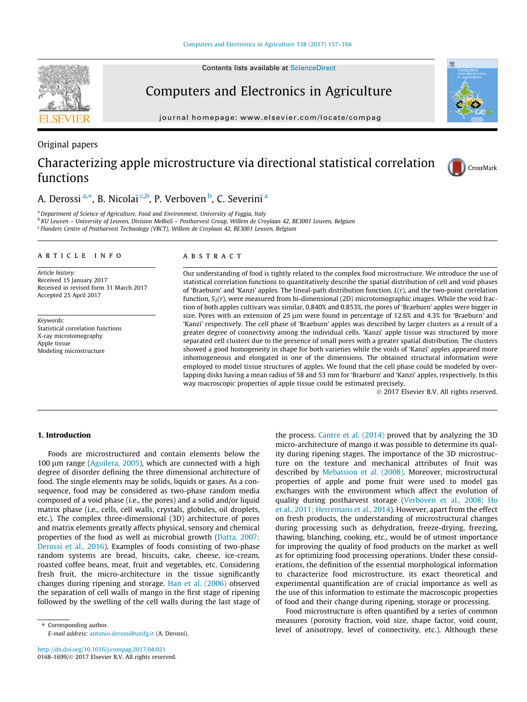## Computers and Electronics in Agriculture

journal homepage: [www.elsevier.com/locate/compag](http://www.elsevier.com/locate/compag)

#### Original papers

## Characterizing apple microstructure via directional statistical correlation functions



### A. Derossi <sup>a,\*</sup>, B. Nicolai <sup>c,b</sup>, P. Verboven <sup>b</sup>, C. Severini <sup>a</sup>

<sup>a</sup> Department of Science of Agriculture, Food and Environment, University of Foggia, Italy

<sup>b</sup> KU Leuven – University of Leuven, Division MeBioS – Postharvest Group, Willem de Croylaan 42, BE3001 Leuven, Belgium <sup>c</sup> Flanders Centre of Postharvest Technology (VBCT), Willem de Croylaan 42, BE3001 Leuven, Belgium

#### article info

Article history: Received 15 January 2017 Received in revised form 31 March 2017 Accepted 25 April 2017

Keywords: Statistical correlation functions X-ray microtomography Apple tissue Modeling microstructure

#### **ABSTRACT**

Our understanding of food is tightly related to the complex food microstructure. We introduce the use of statistical correlation functions to quantitatively describe the spatial distribution of cell and void phases of 'Braeburn' and 'Kanzi' apples. The lineal-path distribution function,  $L(r)$ , and the two-point correlation function,  $S_2(r)$ , were measured from bi-dimensional (2D) microtomographic images. While the void fraction of both apples cultivars was similar, 0.840% and 0.853%, the pores of 'Braeburn' apples were bigger in size. Pores with an extension of 25  $\mu$ m were found in percentage of 12.6% and 4.3% for 'Braeburn' and 'Kanzi' respectively. The cell phase of 'Braeburn' apples was described by larger clusters as a result of a greater degree of connectivity among the individual cells. 'Kanzi' apple tissue was structured by more separated cell clusters due to the presence of small pores with a greater spatial distribution. The clusters showed a good homogeneity in shape for both varieties while the voids of 'Kanzi' apples appeared more inhomogeneous and elongated in one of the dimensions. The obtained structural information were employed to model tissue structures of apples. We found that the cell phase could be modeled by overlapping disks having a mean radius of 58 and 53 mm for 'Braeburn' and 'Kanzi' apples, respectively. In this way macroscopic properties of apple tissue could be estimated precisely.

2017 Elsevier B.V. All rights reserved.

#### 1. Introduction

Foods are microstructured and contain elements below the 100 µm range [\(Aguilera, 2005\)](#page--1-0), which are connected with a high degree of disorder defining the three dimensional architecture of food. The single elements may be solids, liquids or gases. As a consequence, food may be considered as two-phase random media composed of a void phase (i.e., the pores) and a solid and/or liquid matrix phase (i.e., cells, cell walls, crystals, globules, oil droplets, etc.). The complex three-dimensional (3D) architecture of pores and matrix elements greatly affects physical, sensory and chemical properties of the food as well as microbial growth [\(Datta, 2007;](#page--1-0) [Derossi et al., 2016\)](#page--1-0). Examples of foods consisting of two-phase random systems are bread, biscuits, cake, cheese, ice-cream, roasted coffee beans, meat, fruit and vegetables, etc. Considering fresh fruit, the micro-architecture in the tissue significantly changes during ripening and storage. [Han et al. \(2006\)](#page--1-0) observed the separation of cell walls of mango in the first stage of ripening followed by the swelling of the cell walls during the last stage of

⇑ Corresponding author. E-mail address: [antonio.derossi@unifg.it](mailto:antonio.derossi@unifg.it) (A. Derossi). the process. [Cantre et al. \(2014\)](#page--1-0) proved that by analyzing the 3D micro-architecture of mango it was possible to determine its quality during ripening stages. The importance of the 3D microstructure on the texture and mechanical attributes of fruit was described by [Mebatsion et al. \(2008\)](#page--1-0). Moreover, microstructural properties of apple and pome fruit were used to model gas exchanges with the environment which affect the evolution of quality during postharvest storage ([Verboven et al., 2008; Ho](#page--1-0) [et al., 2011; Herremans et al., 2014](#page--1-0)). However, apart from the effect on fresh products, the understanding of microstructural changes during processing such as dehydration, freeze-drying, freezing, thawing, blanching, cooking, etc., would be of utmost importance for improving the quality of food products on the market as well as for optimizing food processing operations. Under these considerations, the definition of the essential morphological information to characterize food microstructure, its exact theoretical and experimental quantification are of crucial importance as well as the use of this information to estimate the macroscopic properties of food and their change during ripening, storage or processing.

Food microstructure is often quantified by a series of common measures (porosity fraction, void size, shape factor, void count, level of anisotropy, level of connectivity, etc.). Although these



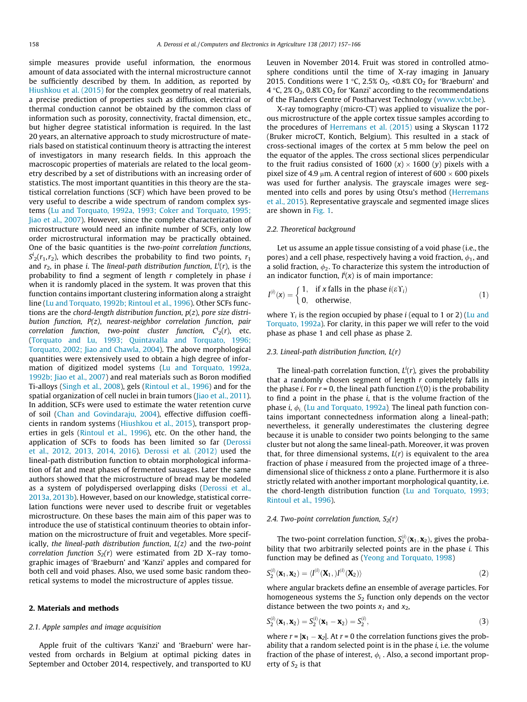simple measures provide useful information, the enormous amount of data associated with the internal microstructure cannot be sufficiently described by them. In addition, as reported by [Hiushkou et al. \(2015\)](#page--1-0) for the complex geometry of real materials, a precise prediction of properties such as diffusion, electrical or thermal conduction cannot be obtained by the common class of information such as porosity, connectivity, fractal dimension, etc., but higher degree statistical information is required. In the last 20 years, an alternative approach to study microstructure of materials based on statistical continuum theory is attracting the interest of investigators in many research fields. In this approach the macroscopic properties of materials are related to the local geometry described by a set of distributions with an increasing order of statistics. The most important quantities in this theory are the statistical correlation functions (SCF) which have been proved to be very useful to describe a wide spectrum of random complex systems ([Lu and Torquato, 1992a, 1993; Coker and Torquato, 1995;](#page--1-0) [Jiao et al., 2007\)](#page--1-0). However, since the complete characterization of microstructure would need an infinite number of SCFs, only low order microstructural information may be practically obtained. One of the basic quantities is the two-point correlation functions,  $S^i_2(r_1,r_2)$ , which describes the probability to find two points,  $r_1$ and  $r_2$ , in phase i. The lineal-path distribution function,  $L^i(r)$ , is the probability to find a segment of length r completely in phase i when it is randomly placed in the system. It was proven that this function contains important clustering information along a straight line ([Lu and Torquato, 1992b; Rintoul et al., 1996\)](#page--1-0). Other SCFs functions are the chord-length distribution function,  $p(z)$ , pore size distribution function, P(z), nearest-neighbor correlation function, pair correlation function, two-point cluster function,  $C^i_{2}(r)$ , etc. ([Torquato and Lu, 1993; Quintavalla and Torquato, 1996;](#page--1-0) [Torquato, 2002; Jiao and Chawla, 2004](#page--1-0)). The above morphological quantities were extensively used to obtain a high degree of information of digitized model systems ([Lu and Torquato, 1992a,](#page--1-0) [1992b; Jiao et al., 2007](#page--1-0)) and real materials such as Boron modified Ti-alloys ([Singh et al., 2008](#page--1-0)), gels [\(Rintoul et al., 1996](#page--1-0)) and for the spatial organization of cell nuclei in brain tumors (*Jiao et al., 2011*). In addition, SCFs were used to estimate the water retention curve of soil ([Chan and Govindaraju, 2004](#page--1-0)), effective diffusion coefficients in random systems [\(Hiushkou et al., 2015](#page--1-0)), transport properties in gels [\(Rintoul et al., 1996](#page--1-0)), etc. On the other hand, the application of SCFs to foods has been limited so far ([Derossi](#page--1-0) [et al., 2012, 2013, 2014, 2016\)](#page--1-0). [Derossi et al. \(2012\)](#page--1-0) used the lineal-path distribution function to obtain morphological information of fat and meat phases of fermented sausages. Later the same authors showed that the microstructure of bread may be modeled as a system of polydispersed overlapping disks [\(Derossi et al.,](#page--1-0) [2013a, 2013b](#page--1-0)). However, based on our knowledge, statistical correlation functions were never used to describe fruit or vegetables microstructure. On these bases the main aim of this paper was to introduce the use of statistical continuum theories to obtain information on the microstructure of fruit and vegetables. More specifically, the lineal-path distribution function,  $L(z)$  and the two-point correlation function  $S_2(r)$  were estimated from 2D X-ray tomographic images of 'Braeburn' and 'Kanzi' apples and compared for both cell and void phases. Also, we used some basic random theoretical systems to model the microstructure of apples tissue.

#### 2. Materials and methods

#### 2.1. Apple samples and image acquisition

Apple fruit of the cultivars 'Kanzi' and 'Braeburn' were harvested from orchards in Belgium at optimal picking dates in September and October 2014, respectively, and transported to KU Leuven in November 2014. Fruit was stored in controlled atmosphere conditions until the time of X-ray imaging in January 2015. Conditions were 1 °C, 2.5% O<sub>2</sub>, <0.8% CO<sub>2</sub> for 'Braeburn' and  $4 °C$ , 2% O<sub>2</sub>, 0.8% CO<sub>2</sub> for 'Kanzi' according to the recommendations of the Flanders Centre of Postharvest Technology ([www.vcbt.be\)](http://www.vcbt.be).

X-ray tomography (micro-CT) was applied to visualize the porous microstructure of the apple cortex tissue samples according to the procedures of [Herremans et al. \(2015\)](#page--1-0) using a Skyscan 1172 (Bruker microCT, Kontich, Belgium). This resulted in a stack of cross-sectional images of the cortex at 5 mm below the peel on the equator of the apples. The cross sectional slices perpendicular to the fruit radius consisted of 1600 (x)  $\times$  1600 (y) pixels with a pixel size of 4.9  $\mu$ m. A central region of interest of 600  $\times$  600 pixels was used for further analysis. The grayscale images were segmented into cells and pores by using Otsu's method [\(Herremans](#page--1-0) [et al., 2015](#page--1-0)). Representative grayscale and segmented image slices are shown in [Fig. 1](#page--1-0).

#### 2.2. Theoretical background

Let us assume an apple tissue consisting of a void phase (i.e., the pores) and a cell phase, respectively having a void fraction,  $\phi_1$ , and a solid fraction,  $\phi_2$ . To characterize this system the introduction of an indicator function,  $I^{i}(x)$  is of main importance:

$$
I^{(i)}(x) = \begin{cases} 1, & \text{if } x \text{ falls in the phase } i(\varepsilon Y_i) \\ 0, & \text{otherwise,} \end{cases}
$$
 (1)

where  $\Upsilon_i$  is the region occupied by phase *i* (equal to 1 or 2) ([Lu and](#page--1-0) [Torquato, 1992a\)](#page--1-0). For clarity, in this paper we will refer to the void phase as phase 1 and cell phase as phase 2.

#### 2.3. Lineal-path distribution function,  $L(r)$

The lineal-path correlation function,  $L^{i}(r)$ , gives the probability that a randomly chosen segment of length  $r$  completely falls in the phase *i*. For  $r = 0$ , the lineal path function  $L^{i}(0)$  is the probability to find a point in the phase i, that is the volume fraction of the phase *i*,  $\phi_i$ . ([Lu and Torquato, 1992a](#page--1-0)). The lineal path function contains important connectedness information along a lineal-path; nevertheless, it generally underestimates the clustering degree because it is unable to consider two points belonging to the same cluster but not along the same lineal-path. Moreover, it was proven that, for three dimensional systems,  $L(r)$  is equivalent to the area fraction of phase i measured from the projected image of a threedimensional slice of thickness z onto a plane. Furthermore it is also strictly related with another important morphological quantity, i.e. the chord-length distribution function [\(Lu and Torquato, 1993;](#page--1-0) [Rintoul et al., 1996](#page--1-0)).

#### 2.4. Two-point correlation function,  $S_2(r)$

The two-point correlation function,  $S_2^{(i)}(\mathbf{x}_1, \mathbf{x}_2)$ , gives the probability that two arbitrarily selected points are in the phase *i*. This function may be defined as [\(Yeong and Torquato, 1998](#page--1-0))

$$
S_2^{(i)}(\mathbf{x}_1, \mathbf{x}_2) = \langle I^{(i)}(\mathbf{x}_1, ) I^{(i)}(\mathbf{x}_2) \rangle
$$
 (2)

where angular brackets define an ensemble of average particles. For homogeneous systems the  $S_2$  function only depends on the vector distance between the two points  $x_1$  and  $x_2$ ,

$$
S_2^{(i)}(\mathbf{x}_1, \mathbf{x}_2) = S_2^{(i)}(\mathbf{x}_1 - \mathbf{x}_2) = S_2^{(i)},
$$
\n(3)

where  $r = |\mathbf{x}_1 - \mathbf{x}_2|$ . At  $r = 0$  the correlation functions gives the probability that a random selected point is in the phase  $i$ , i.e. the volume fraction of the phase of interest,  $\phi_i$ . Also, a second important property of  $S_2$  is that